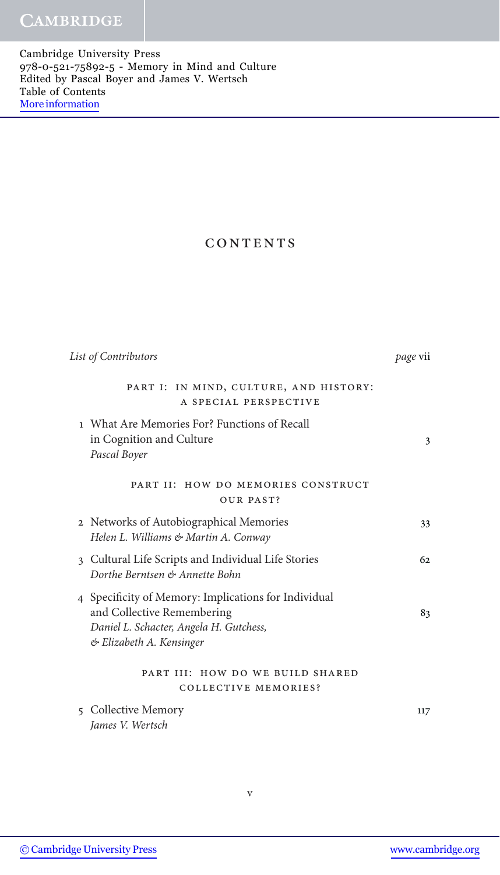Cambridge University Press 978-0-521-75892-5 - Memory in Mind and Culture Edited by Pascal Boyer and James V. Wertsch Table of Contents [More information](http://www.cambridge.org/9780521758925)

## CONTENTS

| List of Contributors                                                                                                                                      | page vii |
|-----------------------------------------------------------------------------------------------------------------------------------------------------------|----------|
| PART I: IN MIND, CULTURE, AND HISTORY:<br>A SPECIAL PERSPECTIVE                                                                                           |          |
| 1 What Are Memories For? Functions of Recall<br>in Cognition and Culture<br>Pascal Boyer                                                                  | 3        |
| PART II: HOW DO MEMORIES CONSTRUCT<br>OUR PAST?                                                                                                           |          |
| 2 Networks of Autobiographical Memories<br>Helen L. Williams & Martin A. Conway                                                                           | 33       |
| 3 Cultural Life Scripts and Individual Life Stories<br>Dorthe Berntsen & Annette Bohn                                                                     | 62.      |
| 4 Specificity of Memory: Implications for Individual<br>and Collective Remembering<br>Daniel L. Schacter, Angela H. Gutchess,<br>& Elizabeth A. Kensinger | 83       |
| PART III: HOW DO WE BUILD SHARED<br><b>COLLECTIVE MEMORIES?</b>                                                                                           |          |
| 5 Collective Memory<br>James V. Wertsch                                                                                                                   | 117      |

v